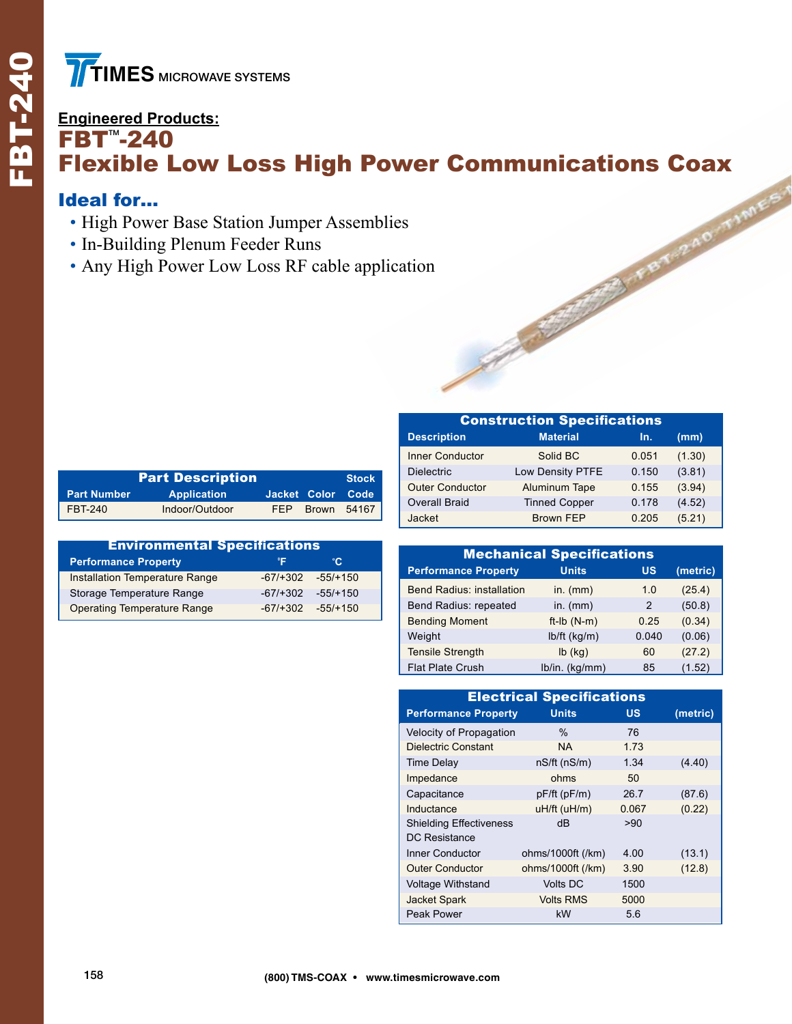## **Engineered Products:**  $FBT^* - 240$ Flexible Low Loss High Power Communications Coax

## Ideal for…

- High Power Base Station Jumper Assemblies
- In-Building Plenum Feeder Runs
- Any High Power Low Loss RF cable application

|                    |                    | <b>Stock</b> |                   |             |
|--------------------|--------------------|--------------|-------------------|-------------|
| <b>Part Number</b> | <b>Application</b> |              | Jacket Color Code |             |
| FBT-240            | Indoor/Outdoor     | FFP          |                   | Brown 54167 |

| <b>Environmental Specifications</b> |            |            |  |  |  |  |
|-------------------------------------|------------|------------|--|--|--|--|
| <b>Performance Property</b>         | °F         | °C.        |  |  |  |  |
| Installation Temperature Range      | $-67/+302$ | $-55/+150$ |  |  |  |  |
| Storage Temperature Range           | $-67/+302$ | $-55/+150$ |  |  |  |  |
| <b>Operating Temperature Range</b>  | $-67/+302$ | $-55/+150$ |  |  |  |  |

| <b>Construction Specifications</b> |                      |       |        |  |  |  |
|------------------------------------|----------------------|-------|--------|--|--|--|
| <b>Description</b>                 | <b>Material</b>      | In.   | (mm)   |  |  |  |
| <b>Inner Conductor</b>             | Solid BC             | 0.051 | (1.30) |  |  |  |
| <b>Dielectric</b>                  | Low Density PTFE     | 0.150 | (3.81) |  |  |  |
| <b>Outer Conductor</b>             | Aluminum Tape        | 0.155 | (3.94) |  |  |  |
| <b>Overall Braid</b>               | <b>Tinned Copper</b> | 0.178 | (4.52) |  |  |  |
| Jacket                             | <b>Brown FEP</b>     | 0.205 | (5.21) |  |  |  |

| <b>Mechanical Specifications</b> |                |       |          |  |  |  |  |
|----------------------------------|----------------|-------|----------|--|--|--|--|
| <b>Performance Property</b>      | <b>Units</b>   | US    | (metric) |  |  |  |  |
| <b>Bend Radius: installation</b> | in. $(mm)$     | 1.0   | (25.4)   |  |  |  |  |
| Bend Radius: repeated            | in. $(mm)$     | 2     | (50.8)   |  |  |  |  |
| <b>Bending Moment</b>            | $ft-lb(N-m)$   | 0.25  | (0.34)   |  |  |  |  |
| Weight                           | $lb/ft$ (kg/m) | 0.040 | (0.06)   |  |  |  |  |
| <b>Tensile Strength</b>          | $lb$ (kg)      | 60    | (27.2)   |  |  |  |  |
| <b>Flat Plate Crush</b>          | lb/in. (kg/mm) | 85    | (1.52)   |  |  |  |  |

| <b>Electrical Specifications</b> |                    |           |          |  |  |  |
|----------------------------------|--------------------|-----------|----------|--|--|--|
| <b>Performance Property</b>      | <b>Units</b>       | <b>US</b> | (metric) |  |  |  |
| Velocity of Propagation          | $\%$               | 76        |          |  |  |  |
| <b>Dielectric Constant</b>       | <b>NA</b>          | 1.73      |          |  |  |  |
| <b>Time Delay</b>                | $nS/ft$ ( $nS/m$ ) | 1.34      | (4.40)   |  |  |  |
| Impedance                        | ohms               | 50        |          |  |  |  |
| Capacitance                      | $pF/ft$ ( $pF/m$ ) | 26.7      | (87.6)   |  |  |  |
| Inductance                       | uH/ft (uH/m)       | 0.067     | (0.22)   |  |  |  |
| <b>Shielding Effectiveness</b>   | dB                 | >90       |          |  |  |  |
| DC Resistance                    |                    |           |          |  |  |  |
| Inner Conductor                  | ohms/1000ft (/km)  | 4.00      | (13.1)   |  |  |  |
| <b>Outer Conductor</b>           | ohms/1000ft (/km)  | 3.90      | (12.8)   |  |  |  |
| <b>Voltage Withstand</b>         | <b>Volts DC</b>    | 1500      |          |  |  |  |
| <b>Jacket Spark</b>              | <b>Volts RMS</b>   | 5000      |          |  |  |  |
| Peak Power                       | kW                 | 5.6       |          |  |  |  |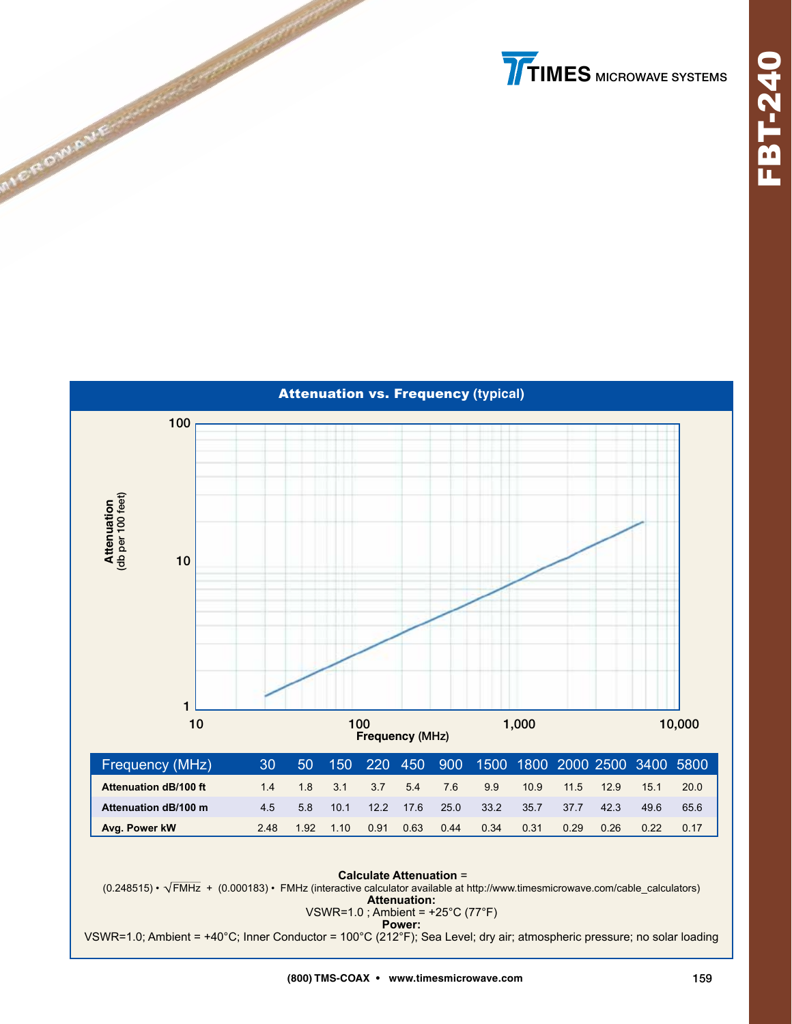



**EROWA** 

VSWR=1.0; Ambient = +40°C; Inner Conductor = 100°C (212°F); Sea Level; dry air; atmospheric pressure; no solar loading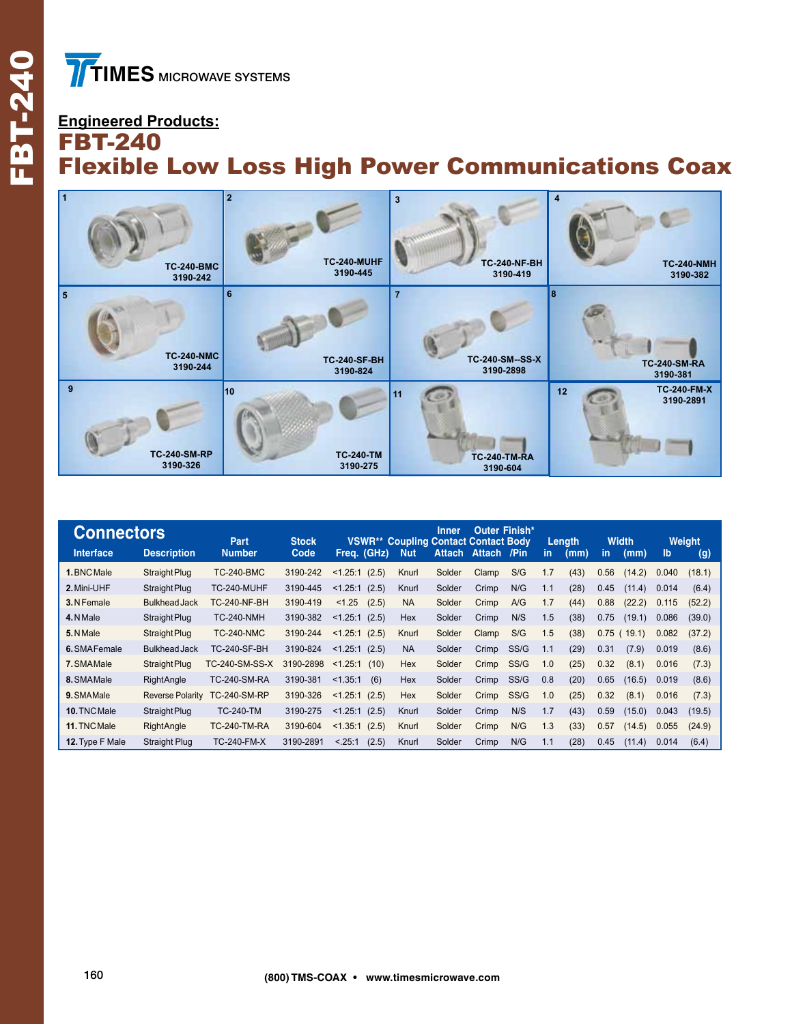FBT-240

FBT-240

## **Engineered Products:** FBT-240 Flexible Low Loss High Power Communications Coax



| <b>Connectors</b> |                         | Part                | <b>Stock</b> | <b>VSWR**</b>     | <b>Coupling Contact Contact Body</b> | Inner.        | <b>Outer Finish*</b> |      |     | Length |      | <b>Width</b> |       | Weight |
|-------------------|-------------------------|---------------------|--------------|-------------------|--------------------------------------|---------------|----------------------|------|-----|--------|------|--------------|-------|--------|
| Interface         | <b>Description</b>      | <b>Number</b>       | Code         | Freq. (GHz)       | <b>Nut</b>                           | <b>Attach</b> | <b>Attach</b>        | /Pin | in  | (mm)   | in.  | (mm)         | lb    | (g)    |
| 1. BNC Male       | Straight Plug           | <b>TC-240-BMC</b>   | 3190-242     | (2.5)<br>< 1.25:1 | Knurl                                | Solder        | Clamp                | S/G  | 1.7 | (43)   | 0.56 | (14.2)       | 0.040 | (18.1) |
| 2. Mini-UHF       | Straight Plug           | TC-240-MUHF         | 3190-445     | (2.5)<br>< 1.25:1 | Knurl                                | Solder        | Crimp                | N/G  | 1.1 | (28)   | 0.45 | (11.4)       | 0.014 | (6.4)  |
| 3. N Female       | <b>Bulkhead Jack</b>    | <b>TC-240-NF-BH</b> | 3190-419     | < 1.25<br>(2.5)   | <b>NA</b>                            | Solder        | Crimp                | A/G  | 1.7 | (44)   | 0.88 | (22.2)       | 0.115 | (52.2) |
| 4. NMale          | Straight Plug           | <b>TC-240-NMH</b>   | 3190-382     | < 1.25:1<br>(2.5) | Hex                                  | Solder        | Crimp                | N/S  | 1.5 | (38)   | 0.75 | (19.1)       | 0.086 | (39.0) |
| 5. NMale          | Straight Plug           | <b>TC-240-NMC</b>   | 3190-244     | (2.5)<br>< 1.25:1 | Knurl                                | Solder        | Clamp                | S/G  | 1.5 | (38)   | 0.75 | 19.1         | 0.082 | (37.2) |
| 6. SMAFemale      | <b>Bulkhead Jack</b>    | <b>TC-240-SF-BH</b> | 3190-824     | < 1.25:1<br>(2.5) | <b>NA</b>                            | Solder        | Crimp                | SS/G | 1.1 | (29)   | 0.31 | (7.9)        | 0.019 | (8.6)  |
| 7. SMAMale        | Straight Plug           | TC-240-SM-SS-X      | 3190-2898    | < 1.25:1<br>(10)  | Hex                                  | Solder        | Crimp                | SS/G | 1.0 | (25)   | 0.32 | (8.1)        | 0.016 | (7.3)  |
| 8. SMAMale        | <b>RightAngle</b>       | <b>TC-240-SM-RA</b> | 3190-381     | < 1.35:1<br>(6)   | <b>Hex</b>                           | Solder        | Crimp                | SS/G | 0.8 | (20)   | 0.65 | (16.5)       | 0.019 | (8.6)  |
| 9. SMAMale        | <b>Reverse Polarity</b> | TC-240-SM-RP        | 3190-326     | < 1.25:1<br>(2.5) | Hex                                  | Solder        | Crimp                | SS/G | 1.0 | (25)   | 0.32 | (8.1)        | 0.016 | (7.3)  |
| 10. TNC Male      | Straight Plug           | <b>TC-240-TM</b>    | 3190-275     | < 1.25:1<br>(2.5) | Knurl                                | Solder        | Crimp                | N/S  | 1.7 | (43)   | 0.59 | (15.0)       | 0.043 | (19.5) |
| 11. TNC Male      | RightAngle              | <b>TC-240-TM-RA</b> | 3190-604     | < 1.35:1<br>(2.5) | Knurl                                | Solder        | Crimp                | N/G  | 1.3 | (33)   | 0.57 | (14.5)       | 0.055 | (24.9) |
| 12. Type F Male   | <b>Straight Plug</b>    | <b>TC-240-FM-X</b>  | 3190-2891    | (2.5)<br>< .25:1  | Knurl                                | Solder        | Crimp                | N/G  | 1.1 | (28)   | 0.45 | (11.4)       | 0.014 | (6.4)  |